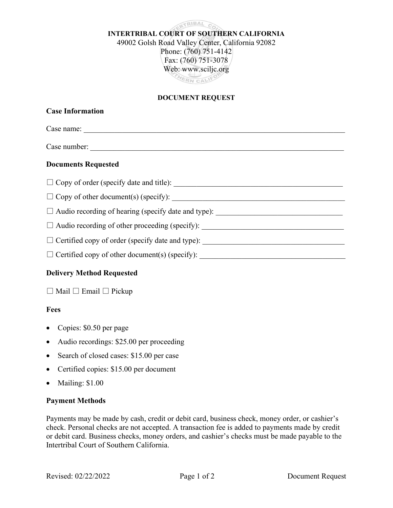RTRIBAL CO INTERTRIBAL COURT OF SOUTHERN CALIFORNIA 49002 Golsh Road Valley Center, California 92082 Phone: (760) 751-4142 Fax: (760) 751-3078 Web: www.sciljc.org HERN CALIFO

### DOCUMENT REQUEST

## Delivery Method Requested

□ Mail □ Email □ Pickup

### Fees

- Copies: \$0.50 per page
- Audio recordings: \$25.00 per proceeding
- Search of closed cases: \$15.00 per case
- Certified copies: \$15.00 per document
- Mailing: \$1.00

## Payment Methods

Payments may be made by cash, credit or debit card, business check, money order, or cashier's check. Personal checks are not accepted. A transaction fee is added to payments made by credit or debit card. Business checks, money orders, and cashier's checks must be made payable to the Intertribal Court of Southern California.